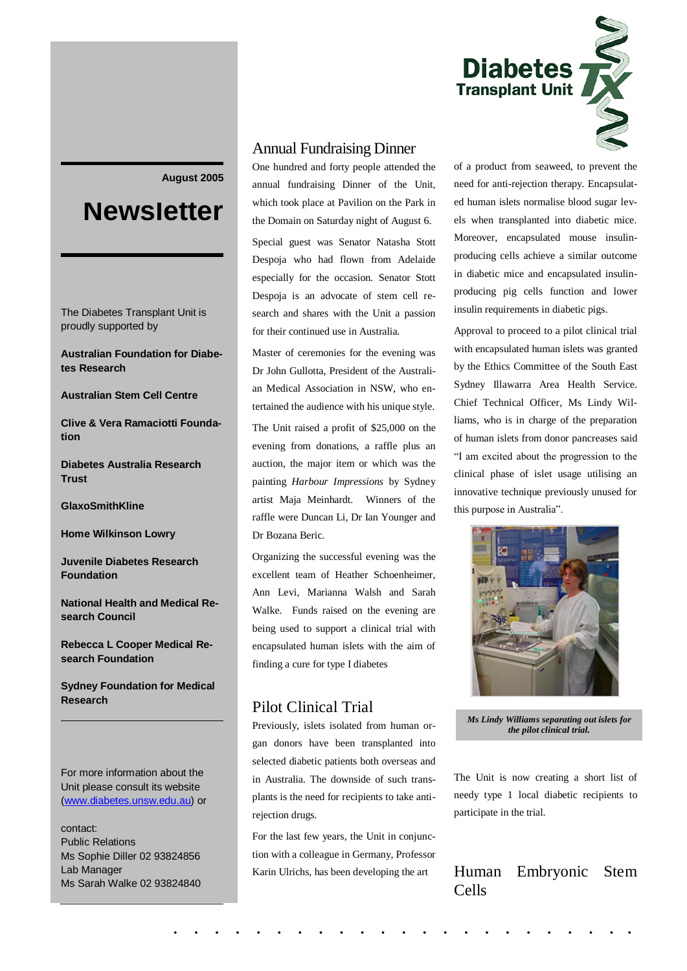

#### **August 2005**

# **Newsletter**

The Diabetes Transplant Unit is proudly supported by

**Australian Foundation for Diabetes Research**

#### **Australian Stem Cell Centre**

**Clive & Vera Ramaciotti Foundation**

**Diabetes Australia Research Trust** 

**GlaxoSmithKline**

**Home Wilkinson Lowry**

**Juvenile Diabetes Research Foundation**

**National Health and Medical Research Council** 

**Rebecca L Cooper Medical Research Foundation** 

**Sydney Foundation for Medical Research**

#### For more information about the Unit please consult its website [\(www.diabetes.unsw.edu.au\)](http://www.diabetes.unsw.edu.au/) or

contact: Public Relations Ms Sophie Diller 02 93824856 Lab Manager Ms Sarah Walke 02 93824840

# Annual Fundraising Dinner

One hundred and forty people attended the annual fundraising Dinner of the Unit, which took place at Pavilion on the Park in the Domain on Saturday night of August 6.

Special guest was Senator Natasha Stott Despoja who had flown from Adelaide especially for the occasion. Senator Stott Despoja is an advocate of stem cell research and shares with the Unit a passion for their continued use in Australia.

Master of ceremonies for the evening was Dr John Gullotta, President of the Australian Medical Association in NSW, who entertained the audience with his unique style. The Unit raised a profit of \$25,000 on the evening from donations, a raffle plus an auction, the major item or which was the painting *Harbour Impressions* by Sydney artist Maja Meinhardt. Winners of the raffle were Duncan Li, Dr Ian Younger and Dr Bozana Beric.

Organizing the successful evening was the excellent team of Heather Schoenheimer, Ann Levi, Marianna Walsh and Sarah Walke. Funds raised on the evening are being used to support a clinical trial with encapsulated human islets with the aim of finding a cure for type I diabetes

# Pilot Clinical Trial

Previously, islets isolated from human organ donors have been transplanted into selected diabetic patients both overseas and in Australia. The downside of such transplants is the need for recipients to take antirejection drugs.

For the last few years, the Unit in conjunction with a colleague in Germany, Professor Karin Ulrichs, has been developing the art

of a product from seaweed, to prevent the need for anti-rejection therapy. Encapsulated human islets normalise blood sugar levels when transplanted into diabetic mice. Moreover, encapsulated mouse insulinproducing cells achieve a similar outcome in diabetic mice and encapsulated insulinproducing pig cells function and lower insulin requirements in diabetic pigs.

Approval to proceed to a pilot clinical trial with encapsulated human islets was granted by the Ethics Committee of the South East Sydney Illawarra Area Health Service. Chief Technical Officer, Ms Lindy Williams, who is in charge of the preparation of human islets from donor pancreases said "I am excited about the progression to the clinical phase of islet usage utilising an innovative technique previously unused for this purpose in Australia".



*Ms Lindy Williams separating out islets for the pilot clinical trial.*

The Unit is now creating a short list of needy type 1 local diabetic recipients to participate in the trial.

# Human Embryonic Stem Cells

. . . . . . . . . . . . . . . . . . . . . . .